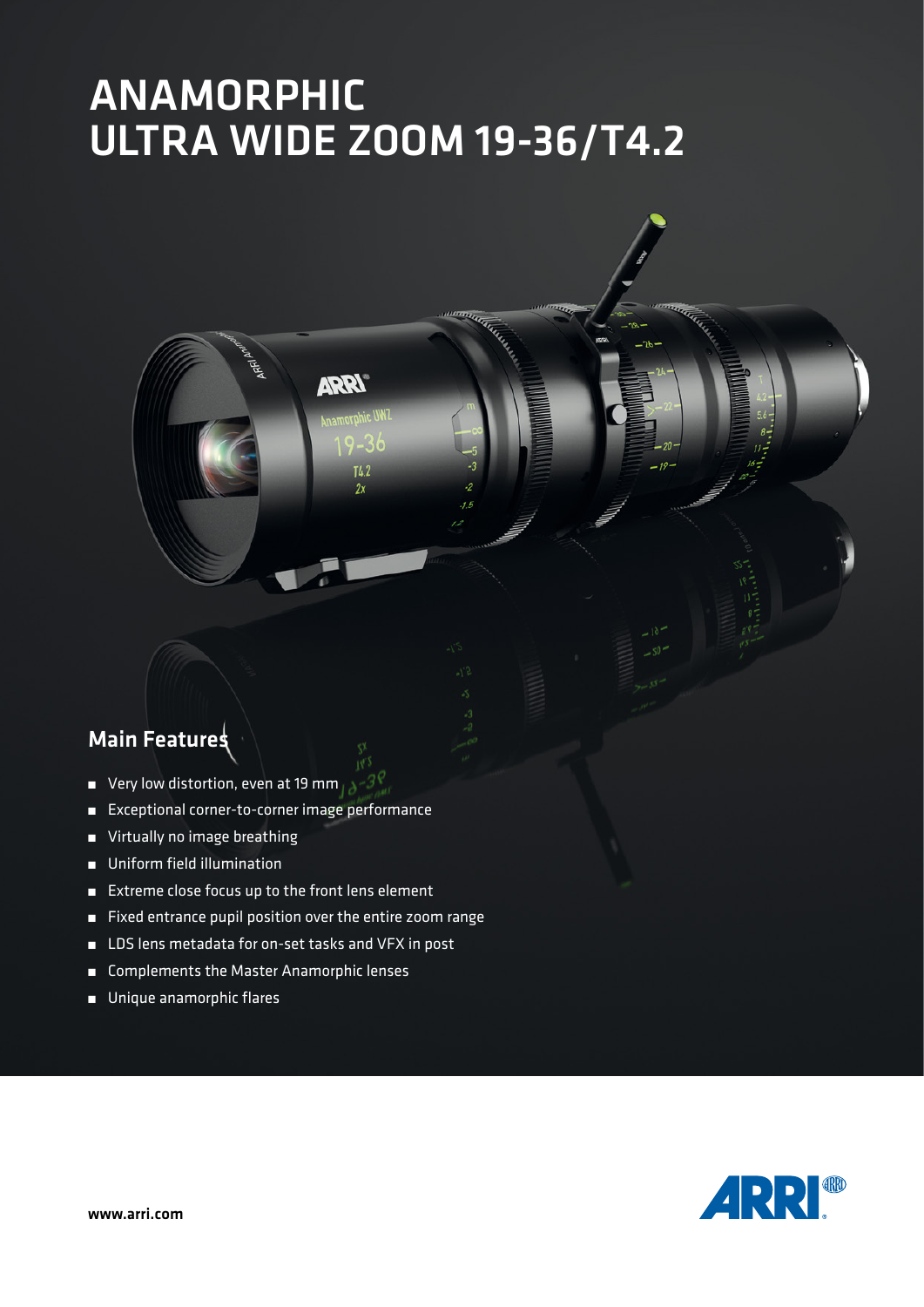# ANAMORPHIC ULTRA WIDE ZOOM 19-36/T4.2

**ARRY** 

 $TL<sub>2</sub>$  $2x$ 

## Main Features

- Very low distortion, even at 19 mm
- Exceptional corner-to-corner image performance
- Virtually no image breathing
- Uniform field illumination
- Extreme close focus up to the front lens element
- Fixed entrance pupil position over the entire zoom range
- LDS lens metadata for on-set tasks and VFX in post
- Complements the Master Anamorphic lenses
- Unique anamorphic flares